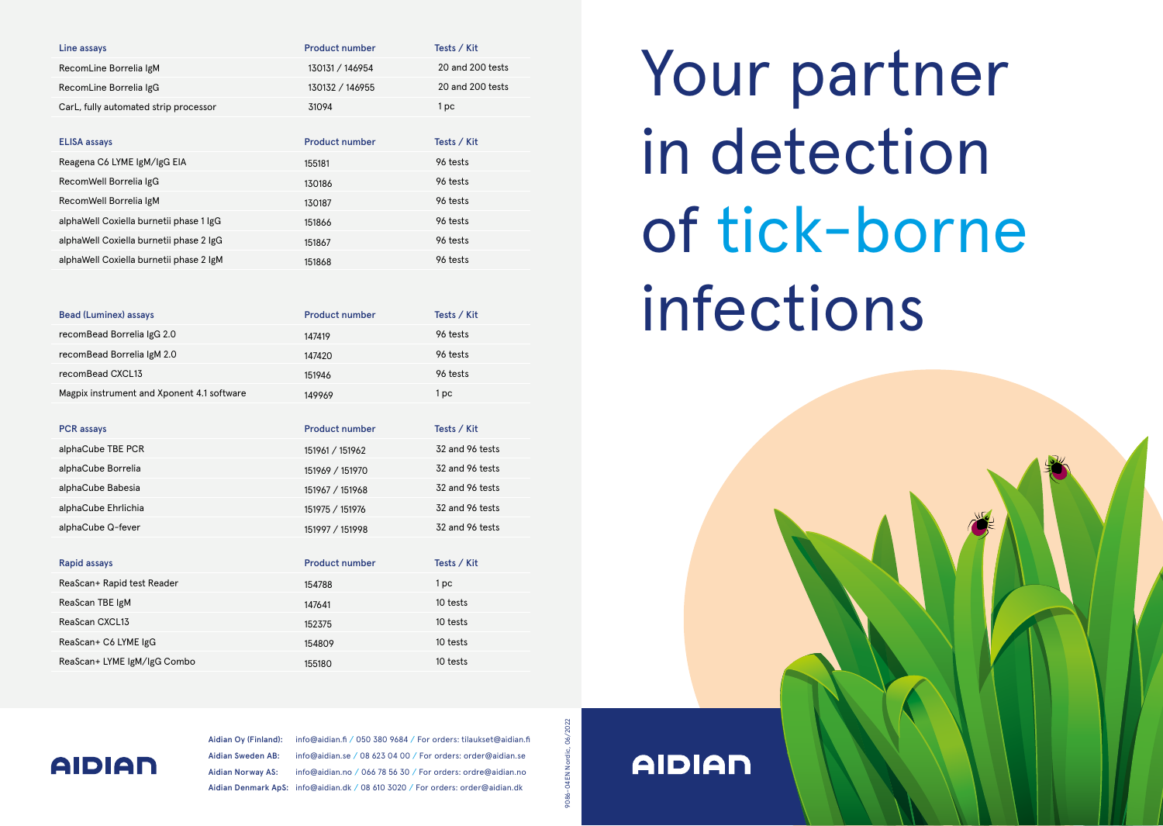| Line assays                           | <b>Product number</b> | Tests / Kit      |
|---------------------------------------|-----------------------|------------------|
| RecomLine Borrelia IgM                | 130131 / 146954       | 20 and 200 tests |
| RecomLine Borrelia IgG                | 130132 / 146955       | 20 and 200 tests |
| CarL, fully automated strip processor | 31094                 | l pc             |

| <b>ELISA assays</b>                     | <b>Product number</b> | Tests / Kit |
|-----------------------------------------|-----------------------|-------------|
| Reagena C6 LYME IgM/IgG EIA             | 155181                | 96 tests    |
| RecomWell Borrelia IgG                  | 130186                | 96 tests    |
| RecomWell Borrelia IgM                  | 130187                | 96 tests    |
| alphaWell Coxiella burnetii phase 1 IgG | 151866                | 96 tests    |
| alphaWell Coxiella burnetii phase 2 IgG | 151867                | 96 tests    |
| alphaWell Coxiella burnetii phase 2 IgM | 151868                | 96 tests    |

| <b>Bead (Luminex) assays</b>               | <b>Product number</b> | Tests / Kit |
|--------------------------------------------|-----------------------|-------------|
| recomBead Borrelia IgG 2.0                 | 147419                | 96 tests    |
| recomBead Borrelia IgM 2.0                 | 147420                | 96 tests    |
| recomBead CXCL13                           | 151946                | 96 tests    |
| Magpix instrument and Xponent 4.1 software | 149969                | l pc        |

| <b>PCR</b> assays   | <b>Product number</b> | Tests / Kit     |
|---------------------|-----------------------|-----------------|
| alphaCube TBE PCR   | 151961 / 151962       | 32 and 96 tests |
| alphaCube Borrelia  | 151969 / 151970       | 32 and 96 tests |
| alphaCube Babesia   | 151967 / 151968       | 32 and 96 tests |
| alphaCube Ehrlichia | 151975 / 151976       | 32 and 96 tests |
| alphaCube Q-fever   | 151997 / 151998       | 32 and 96 tests |

| Rapid assays                | <b>Product number</b> | Tests / Kit |
|-----------------------------|-----------------------|-------------|
| ReaScan+ Rapid test Reader  | 154788                | 1 pc        |
| ReaScan TBE IgM             | 147641                | 10 tests    |
| ReaScan CXCL13              | 152375                | 10 tests    |
| ReaScan+ C6 LYME IgG        | 154809                | 10 tests    |
| ReaScan+ LYME IgM/IgG Combo | 155180                | 10 tests    |

# Your partner in detection of tick-borne infections



### **AIDIAN**

Aidian Oy (Finland): info@aidian.fi / 050 380 9684 / For orders: tilaukset@aidian.fi Aidian Sweden AB: info@aidian.se / 08 623 04 00 / For orders: order@aidian.se Aidian Norway AS: info@aidian.no / 066 78 56 30 / For orders: ordre@aidian.no Aidian Denmark ApS: info@aidian.dk / 08 610 3020 / For orders: order@aidian.dk

06/2022 9086-04EN Nordic, 06/2022 9086-04EN Nordic,